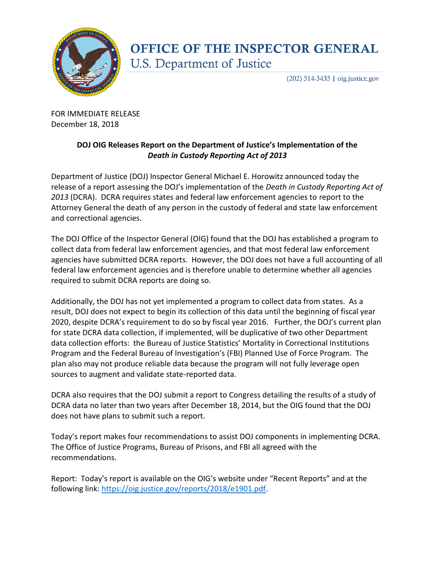

## **OFFICE OF THE INSPECTOR GENERAL U.S. Department of Justice**

 $(202)$  514-3435 | oig.justice.gov

FOR IMMEDIATE RELEASE December 18, 2018

## **DOJ OIG Releases Report on the Department of Justice's Implementation of the**  *Death in Custody Reporting Act of 2013*

Department of Justice (DOJ) Inspector General Michael E. Horowitz announced today the release of a report assessing the DOJ's implementation of the *Death in Custody Reporting Act of 2013* (DCRA). DCRA requires states and federal law enforcement agencies to report to the Attorney General the death of any person in the custody of federal and state law enforcement and correctional agencies.

The DOJ Office of the Inspector General (OIG) found that the DOJ has established a program to collect data from federal law enforcement agencies, and that most federal law enforcement agencies have submitted DCRA reports. However, the DOJ does not have a full accounting of all federal law enforcement agencies and is therefore unable to determine whether all agencies required to submit DCRA reports are doing so.

Additionally, the DOJ has not yet implemented a program to collect data from states. As a result, DOJ does not expect to begin its collection of this data until the beginning of fiscal year 2020, despite DCRA's requirement to do so by fiscal year 2016. Further, the DOJ's current plan for state DCRA data collection, if implemented, will be duplicative of two other Department data collection efforts: the Bureau of Justice Statistics' Mortality in Correctional Institutions Program and the Federal Bureau of Investigation's (FBI) Planned Use of Force Program. The plan also may not produce reliable data because the program will not fully leverage open sources to augment and validate state-reported data.

DCRA also requires that the DOJ submit a report to Congress detailing the results of a study of DCRA data no later than two years after December 18, 2014, but the OIG found that the DOJ does not have plans to submit such a report.

Today's report makes four recommendations to assist DOJ components in implementing DCRA. The Office of Justice Programs, Bureau of Prisons, and FBI all agreed with the recommendations.

Report: Today's report is available on the OIG's website under "Recent Reports" and at the following link: [https://oig.justice.gov/reports/2018/e1901.pdf.](https://oig.justice.gov/reports/2018/e1901.pdf)